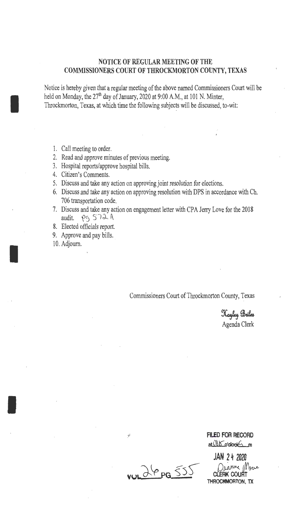## NOTICE OF REGULAR MEETING OF THE COMMISSIONERS COURT OF THROCKMORTON COUNTY, TEXAS

Notice is hereby given that a regular meeting of the above named Commissioners Court will be held on Monday, the 27<sup>th</sup> day of January, 2020 at 9:00 A.M., at 101 N. Minter, Throckmorton, Texas, at which time the following subjects will be discussed, to-wit:

1. Call meeting to order.

I

I

I

- 2. Read and approve minutes of previous meeting.
- 3. Hospital reports/approve hospital bills.
- 4. Citizen's Comments.
- 5. Discuss and take any action on approving joint resolution for elections.
- 6. Discuss and take any action on approving resolution with DPS in accordance with Ch. 706 transportation code.
- 7. Discuss and take any action on engagement letter with CPA Jerry Love for the 2018 audit.  $\rho_5$   $572$   $A$
- 8. Elected officials report.
- 9. Approve and pay bills.

10. Adjourn.

Commissioners Court of Throckmorton County, Texas

Hayley Briles Agenda Clerk

**FILED FOR RECORD** at 060 o'clock

JAN 2 4 2020 CLERK COURT THROCKMORTON, TX

 $\sim 269955$ 

 $\mathbf{y}$